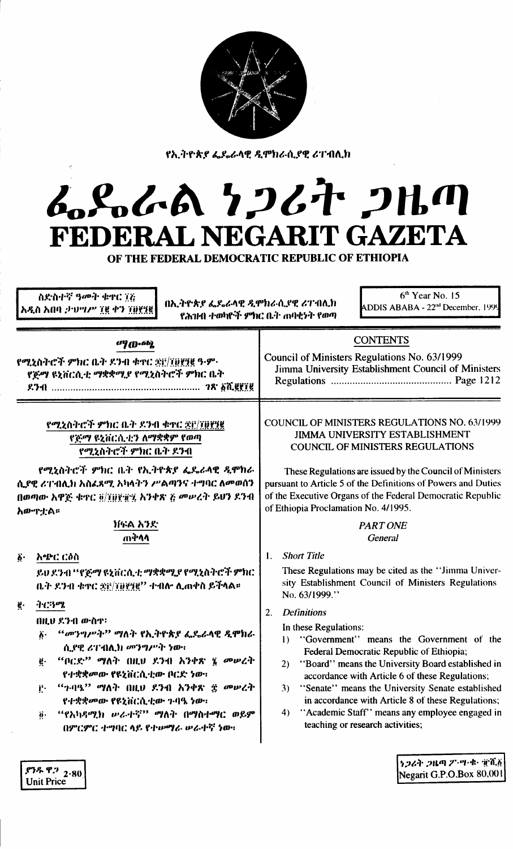|                                     | g,<br>ı<br>ĝ                    |                                                  |     |
|-------------------------------------|---------------------------------|--------------------------------------------------|-----|
| в<br><b>Manager</b><br>z,<br>2<br>× | È<br>(1, 3, 6)<br>大学の<br>٠<br>ş | Ĵ.<br><b>Deve</b><br>æ,<br>۰,                    | łą, |
| ٠                                   | Ì                               | $\theta_{\rm 2p}$<br>$\mathcal{R}_{\mathcal{B}}$ |     |

የኢትዮጵያ ፌዴራላዊ ዲሞክራሲያዊ ሪፐብሊክ

# んとんへ とつびれ つルの FEDERAL NEGARIT GAZETA

OF THE FEDERAL DEMOCRATIC REPUBLIC OF ETHIOPIA

| ስድስተኛ ዓመት ቁዋር 77<br>አዲስ አበባ ታህሣሥ ፲፪ ቀን ፲፱፻፺፪                                                                                                                                                                                                                                                                                                                                                                                                                                  | በኢትዮጵያ ፌዴራላዊ ዲሞክራሲያዊ ሪፐብሊክ<br>የሕገዘት ተወካዮች ምክር ቤት ሐባቂነት የወጣ |                                                                                                                                                                                                                                                                                                                                                                                                                                                                                                                                                                                                                                                     | $6th$ Year No. 15<br>ADDIS ABABA - 22 <sup>nd</sup> December, 1999                                                                                                                      |
|-------------------------------------------------------------------------------------------------------------------------------------------------------------------------------------------------------------------------------------------------------------------------------------------------------------------------------------------------------------------------------------------------------------------------------------------------------------------------------|------------------------------------------------------------|-----------------------------------------------------------------------------------------------------------------------------------------------------------------------------------------------------------------------------------------------------------------------------------------------------------------------------------------------------------------------------------------------------------------------------------------------------------------------------------------------------------------------------------------------------------------------------------------------------------------------------------------------------|-----------------------------------------------------------------------------------------------------------------------------------------------------------------------------------------|
| $^{17}$ (D $\cdot$ 6b)<br>የሚኒስትሮች ምክር ቤት ደንብ ቁተር ቋፀ/፲፱፻፶፪ ዓ-ም<br>ኖጅማ ዩኒቨርሲቲ ማቋቋሚያ የሚኒስትሮች ምክር ቤት                                                                                                                                                                                                                                                                                                                                                                              |                                                            | Council of Ministers Regulations No. 63/1999                                                                                                                                                                                                                                                                                                                                                                                                                                                                                                                                                                                                        | <b>CONTENTS</b><br>Jimma University Establishment Council of Ministers                                                                                                                  |
| የሚረስትሮች ምክር ቤት ደንብ ቁዋር ቋ፫/፲፱፻፶፪<br>የጅማ ዩኒቨርሲቲን ለማቋቋም የወጣ<br>የሚኒስትሮች ምክር ቤት ዶንብ                                                                                                                                                                                                                                                                                                                                                                                                |                                                            |                                                                                                                                                                                                                                                                                                                                                                                                                                                                                                                                                                                                                                                     | COUNCIL OF MINISTERS REGULATIONS NO. 63/1999<br><b>JIMMA UNIVERSITY ESTABLISHMENT</b><br><b>COUNCIL OF MINISTERS REGULATIONS</b>                                                        |
| የሚኒስትሮች ምክር ቤት የኢትዮጵያ ፌዴራላዊ ዲሞክራ<br>ሲያዊ ሪፐብሊክ አስፌጻሚ አካላትን ሥልጣንና ተግባር ለመወሰን<br>በወጣው አዋጅ ቁዋር ፬/፲፱፻፹፯ አንቀጽ ፩ መሥረት ይህን ደንብ<br>አውዋቷል።                                                                                                                                                                                                                                                                                                                                              |                                                            | of Ethiopia Proclamation No. 4/1995.                                                                                                                                                                                                                                                                                                                                                                                                                                                                                                                                                                                                                | These Regulations are issued by the Council of Ministers<br>pursuant to Article 5 of the Definitions of Powers and Duties<br>of the Executive Organs of the Federal Democratic Republic |
| ነኩል አንድ<br>ጠቅላላ                                                                                                                                                                                                                                                                                                                                                                                                                                                               |                                                            |                                                                                                                                                                                                                                                                                                                                                                                                                                                                                                                                                                                                                                                     | <b>PART ONE</b><br><b>General</b>                                                                                                                                                       |
| አጭር ርዕስ<br>$\ddot{\mathbf{b}}$ .<br>ይህ ደንብ ''ኖጅማ ዩኒቨርሲቲ ማቋቋሚያ የሚኒስትሮች ምክር<br>ቤት ደንብ ቁዋር ቋሮ/፲፱፻፶፪'' ተብሎ ሊጠቀስ ይችላል።<br>ትርዓሜ<br>Ķ.<br>በዚህ ደንብ ውስዋ፡<br><i>"መንግሥት" ማ</i> ለት የኢትዮጵያ ፌዴራላዊ ዲሞክራ<br>$\ddot{\mathbf{v}}$<br>ሲያዊ ሪፐብሊክ መንግሥት ነው።<br>"ቦርድ'' ማለት በዚህ ደንብ አንቀጽ ፮ መሠረት<br>ë.<br>የተቋቋመው የዩኒቨርሲቲው ቦርድ ነው።<br>$``$ ገ·ባዓ $"$ ማለት በዚህ ደንብ አንቀጽ ፰ መሠረት<br>ij.<br>የተቋቋመው የዩኒቨርሲቲው ጉባዔ ነው።<br>"የአካዳሚክ ውራተኛ" ማለት በማስተማር ወይም<br>$\ddot{\mathbf{e}}$ .<br>በምርምር ተግባር ላይ የተውማራ ውራተኛ ነው። |                                                            | <b>Short Title</b><br>$\mathbf{L}$<br>These Regulations may be cited as the "Jimma Univer-<br>sity Establishment Council of Ministers Regulations<br>No. 63/1999."<br><b>Definitions</b><br>2.<br>In these Regulations:<br>"Government" means the Government of the<br>$\mathbf{D}$<br>Federal Democratic Republic of Ethiopia;<br>2) "Board" means the University Board established in<br>accordance with Article 6 of these Regulations;<br>3) "Senate" means the University Senate established<br>in accordance with Article 8 of these Regulations;<br>"Academic Staff" means any employee engaged in<br>4)<br>teaching or research activities; |                                                                                                                                                                                         |
| $.93$ $.92$ $.80$                                                                                                                                                                                                                                                                                                                                                                                                                                                             |                                                            |                                                                                                                                                                                                                                                                                                                                                                                                                                                                                                                                                                                                                                                     | ነጋሪት ጋዜጣ ፖንሣ ቁጥቸልሽ<br>$N$ egarit G.P.O.Box $80.001$                                                                                                                                     |

Unit Price

Negarit G.P.O.Box 80,001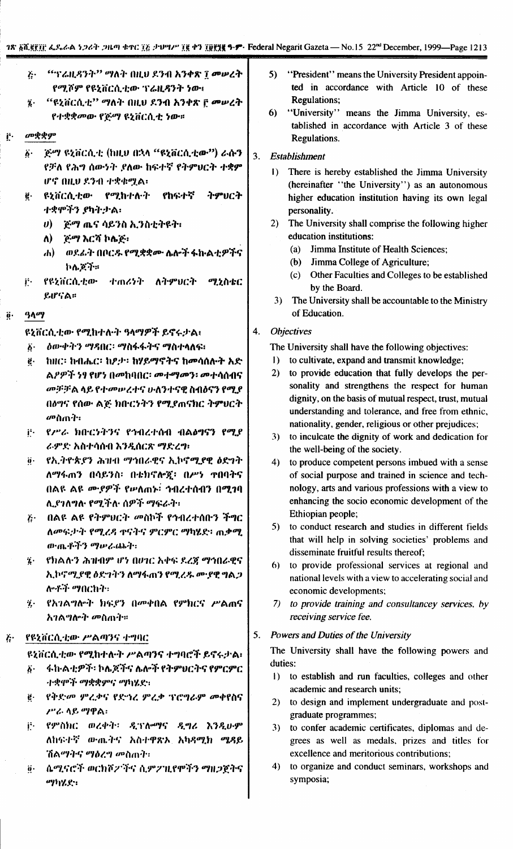$\overline{3}$ 

| $\ddot{G}$ | - ''ፕሬዚዳንት'' ማለት በዚህ ደንብ አንቀጽ ፲ መሠረት |  |
|------------|--------------------------------------|--|
|            | የሚሾም የዩኒቨርሲቲው ፕሬዚዳንት ነው፥             |  |

- "ዩኒቨርሲቲ" ማለት በዚህ ደንብ አንቀጽ ቮ መሠረት  $\dddot{\mathbf{z}}$ . የተቋቋመው የጅማ ዩኒቨርሲቲ ነው።
- Ë. መቋቋም
	- `ጅማ ዩኒቨርሲቲ (ከዚህ በኋላ "ዩኒቨርሲቲው") ራሱን  $\ddot{\delta}$ . የቻለ የሕግ ሰውንት ያለው ከፍተኛ የትምሀርት ተቋም ሆኖ በዚህ ደንብ ተቋቁሟል፡
	- **ዩኒቨርሲቲው የሚከተሉት** የከፍተኛ ትምሀርት ë. ተቋሞችን ያካትታል፡
		- $\boldsymbol{\theta}$ ) ወይማ ጨና ሳይንስ ኢንስቲትዩት፡
		- ለ) ጅማ እርሻ ኮሌጅ፣
		- ሐ) ወደፊት በቦርዱ የሚቋቋሙ ሌሎች ፋኩልቲዎችና ኮሌጆች።
	- j. ሚኒስቴር የዩኔቨርሲቲው ተጠሪነት ለትምህርት ይሆናል።

#### $9$  $0<sup>q</sup>$ ö.

ዩኒቨርሲቲው የሚከተሉት ዓላማዎች ይኖሩታል።

- *ስ*ውቀትን ማዳበር፡ ማስፋፋትና ማስተላለፍ፣  $\ddot{\bm{b}}$ .
- $\ddot{\mathbf{g}}$ . ከዘር፡ ከብሔር፡ ከዖታ፡ ከሃይማኖትና ከመሳሰሉት አድ ል*ዖዎች ነፃ የሆነ በመ*ከባበር፡ መተማመን፡ መተሳሰብና መቻቻል ላይ የተመሠረተና ሁለንተናዊ ስብዕናን የሚያ በዕግና የሰው ልጅ ክቡርነትን የሚያጠናክር ትምህርት መስጡት፡
- የሥራ ክቡርነትንና የኅብረተሰብ ብልዕግናን የሚደ j٠. ራምድ አስተሳሰብ እንዲሰርጽ ማድረግ፡
- የኢትዮጵያን ሕዝብ ማኅበራዊና ኢኮኖሚያዊ ዕድንት ö. ለማፋጠን በሳይንስ፡ በቴክኖሎጇ፡ በሥነ ተበባትና በልዩ ልዩ ሙያዎች የሥለጠኑ<sup>:</sup> ኅብረተሰብን በሚገባ ሊያገለግለ የሚችሉ ሰዎች ማፍራት፡
- ጅ· በልዩ ልዩ የትምህርት መስኮች የኅብረተሰቡን ችግር ለመፍታት የሚረዳ ቀናትና ምርምር ማካሄድ፡ ሐቃሚ のついぞう ツルでのデー
- የክልሉን ሕዝብም ሆነ በሀገር አቀፍ ደረጃ ማኅበራዊና  $\dddot{\mathbf{z}}$ . ኢኮኖሚያዊ ዕድገትን ለማፋጠን የሚረዱ ሙያዊ ግልጋ ሎቶች *ማ*በርከት፡
- የአገልግሎት ክፍያን በመቀበል የምክርና ሥልጠና  $\ddot{\mathbf{z}}$ . አገልግሎት *መ*ስጠት።

#### የዩኒቨርሲቲው ሥልጣንና ተግባር  $k^*$

ዩኒቨርሲቲው የሚከተሉት ሥልጣንና ተግባሮች ይኖሩታል፡

- ፋኩልቲዎች፡ ኮሌጆችና ሌሎች የትምህርትና የምርምር  $\ddot{\delta}$ . ተቋሞች ማቋቋምና ማካሄደ፡፡
- የቅድመ ምሬቃና የድኅሬ ምሬቃ ፕሮግራም መቀየስና ë. ሥራ ላይ ማዋል፡
- j٠. የምስክር ወረቀት፡ ዲፕሎማና ዲግሪ እንዲሁም ለከፍተኛ ውጤትና አስተዋጽኦ አካዳሚክ ሜዳይ ሽልማትና ማዕረግ መስጠት፡
- ሴሚናሮች ወርክሾፖችና ሲምፖዚየሞችን ማዘጋጀትና  $\ddot{\mathbf{0}}$ . ማካሄድ፡
- 5) "President" means the University President appointed in accordance with Article 10 of these **Regulations:**
- "University" means the Jimma University, es- $6)$ tablished in accordance with Article 3 of these Regulations.

## **Establishment**

- 1) There is hereby established the Jimma University (hereinafter "the University") as an autonomous higher education institution having its own legal personality.
- $2)$ The University shall comprise the following higher education institutions:
	- (a) Jimma Institute of Health Sciences;
	- (b) Jimma College of Agriculture;
	- (c) Other Faculties and Colleges to be established by the Board.
- The University shall be accountable to the Ministry  $3)$ of Education.

#### $4.$ **Objectives**

The University shall have the following objectives:

- 1) to cultivate, expand and transmit knowledge;
- 2) to provide education that fully develops the personality and strengthens the respect for human dignity, on the basis of mutual respect, trust, mutual understanding and tolerance, and free from ethnic, nationality, gender, religious or other prejudices;
- 3) to inculcate the dignity of work and dedication for the well-being of the society.
- $4)$ to produce competent persons imbued with a sense of social purpose and trained in science and technology, arts and various professions with a view to enhancing the socio economic development of the Ethiopian people;
- 5) to conduct research and studies in different fields that will help in solving societies' problems and disseminate fruitful results thereof;
- 6) to provide professional services at regional and national levels with a view to accelerating social and economic developments;
- 7) to provide training and consultancey services, by receiving service fee.

#### $5.$ Powers and Duties of the University

The University shall have the following powers and duties:

- 1) to establish and run faculties, colleges and other academic and research units;
- 2) to design and implement undergraduate and postgraduate programmes;
- 3) to confer academic certificates, diplomas and degrees as well as medals, prizes and titles for excellence and meritorious contributions;
- 4) to organize and conduct seminars, workshops and symposia;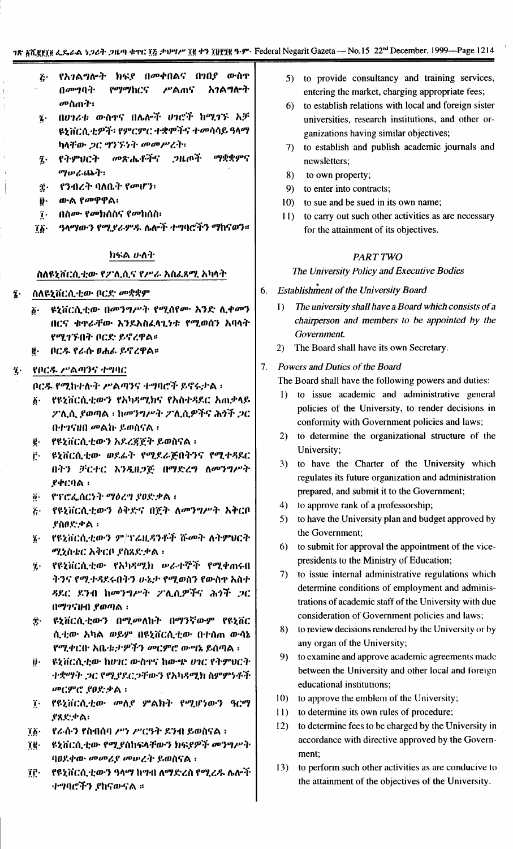- የአገልግሎት ክፍደ በመቀበልና በገበደ ውስዋ  $\tilde{k}$ የማማከርና ሥልጠና አገልግሎት በመግባት: ั*ข*∘กกา•ิ:
- በሀገሪቱ ውስኖና በሌሎች ሀገሮች ከሚገኙ አቻ  $\mathbf{z}$ ዩኒቨርሲቲዎች፡ የምርምር ተቋሞችና ተመሳሳይ ዓላማ ከላቸው *ጋር ግንኙነት መመሥረት*።
- መጽሔቶችና ጋዜጦች ማቋቋምና ï. የትምህርት ツルム(ふう・・
- የንብረት ባለቤት የመሆን፡ Τ.
- ውል የመዋዋል፡  $\mathbf{\hat{y}}$ .
- በስሙ የመክሰስና የመከሰስ፡  $\dddot{\mathbf{i}}$ .
- ዓላማውን የሚደራምዱ ሌሎች ተግባሮችን ማከናወን።  $76 -$

## ክፍል ሁለት

## ስለዩኒቨርሲቲው የፖሊሲና የሥራ አስፌጻሚ አካላት

- ስለዩኒቨርሲቲው ቦርድ መቋቋም  $\overline{\imath}$ .
	- ዩኒቨርሲቲው በመንግሥት የሚሰየሙ አንድ ሊቀመን  $\ddot{\boldsymbol{\delta}}$ . በርና ቁተራቸው እንደአስፈላጊነቱ የሚወሰን አባላት የሚገኙበት ቦርድ ይኖረዋል።
	- **የ.** ቦርዱ የራሱ ዐሐፊ ይኖረዋል፡፡

#### የቦርዱ ሥልጣንና ተግባር  $\ddot{\imath}$ .

- ቦርዱ የሚከተሉት ሥልጣንና ተግባሮች ይኖሩታል ፡
- δ· የዩኒቨርሲቲውን የአካዳሚክና የአስተዳደር አጠቃላይ ፖሊሲ ያወጣል ፡ ከመንግሥት ፖሊሲዎችና ሕጎች *ጋ*ር በተገናዘበ መልኩ ይወስናል ፡
- የዩኒቨርሲቲውን አደረጀጀት ይወስናል ፡ ë.
- ዩኒቨርሲቲው ወደራት የሚደራጅበትንና የሚተዳደር ŕ. በትን ቻርተር እንዲዘጋጅ በማድረግ ለመንግሥት  $.94C0A:$
- የፕሮፌሰርነት ማዕረግ ያፀድቃል ፣  $\ddot{\bm{\theta}}$  .
- የዩኒቨርሲቲውን ዕቅድና በጀት ለመንግሥት አቅርቦ  $k^{\mu}$ ደስዐድቃል ፡
- የዩኒቨርሲቲውን ም/ፕሬዚዳንቶች ሹመት ለትምፀርት  $\boldsymbol{i}$ . ሚኒስቴር አቅርቦ ያስጸድቃል ፡
- የዩኒቨርሲቲው የአካዳሚክ ሥራተኞች የሚቀጠሩበ  $\dddot{\mathbf{z}}$ . ትንና የሚተዳደሩበትን ሁኔታ የሚወስን የውስዋ አስተ ዳደር ደንብ ከመንግሥት ፖሊሲዎችና ሕጎች ጋር በማንናዙብ ያወጣል ፡
- ዩኒቨርሲቲውን በሚመለከት በማንኛውም የዩኒቨር  $\ddot{\mathbf{r}}$ . ሲቲው አካል ወይም በዩኒቨርሲቲው በተሰጠ ውሳኔ የሚቀርቡ አቤቱ:ታዎችን መርምሮ ውሣኔ ይሰጣል ፡
- ዩኒቨርሲቲው ከሀገር ውስኖና ከውጭ ሀገር የትምህርት ij -ተቋማት ጋር የሚያደርጋቸውን የአካዳሚክ ስምምነቶች መርምሮ የዐድቃል ፡
- $\dddot{\mathbf{i}}$ . የዩኒቨርሲቲው መለያ ምልክት የሚሆነውን ዓርማ ያጸድቃል፡
- የራሱን የስብሰባ ሥነ ሥርዓት ደንብ ይወስናል ፡  $76 -$
- ዩኒቨርሲቲው የሚያስከፍላቸውን ክፍያዎች መንግሥት ïë∙ ባዐደቀው መመሪያ መሠረት ይወስናል ፡
- የዩኒቨርሲቲውን ዓላማ ከግብ ለማድረስ የሚረዱ ሌሎች ïſ∙ ተማባሮችን ያከናውናል ።
- to provide consultancy and training services,  $5)$ entering the market, charging appropriate fees;
- $6$ to establish relations with local and foreign sister universities, research institutions, and other organizations having similar objectives;
- to establish and publish academic journals and  $7)$ newsletters:
- 8) to own property:
- 9) to enter into contracts;
- 10) to sue and be sued in its own name;
- 11) to carry out such other activities as are necessary for the attainment of its objectives.

## PART TWO

## The University Policy and Executive Bodies

- **Establishment of the University Board** 6.
	- The university shall have a Board which consists of a  $\mathbf{D}$ chairperson and members to be appointed by the Government.
	- The Board shall have its own Secretary.  $(2)$

#### Powers and Duties of the Board  $7<sup>1</sup>$

The Board shall have the following powers and duties:

- 1) to issue academic and administrative general policies of the University, to render decisions in conformity with Government policies and laws;
- 2) to determine the organizational structure of the University:
- 3) to have the Charter of the University which regulates its future organization and administration prepared, and submit it to the Government;
- 4) to approve rank of a professorship;
- 5) to have the University plan and budget approved by the Government:
- 6) to submit for approval the appointment of the vicepresidents to the Ministry of Education;
- 7) to issue internal administrative regulations which determine conditions of employment and administrations of academic staff of the University with due consideration of Government policies and laws;
- 8) to review decisions rendered by the University or by any organ of the University;
- 9) to examine and approve academic agreements made between the University and other local and foreign educational institutions;
- 10) to approve the emblem of the University;
- 11) to determine its own rules of procedure;
- to determine fees to be charged by the University in  $12)$ accordance with directive approved by the Government;
- to perform such other activities as are conducive to  $13)$ the attainment of the objectives of the University.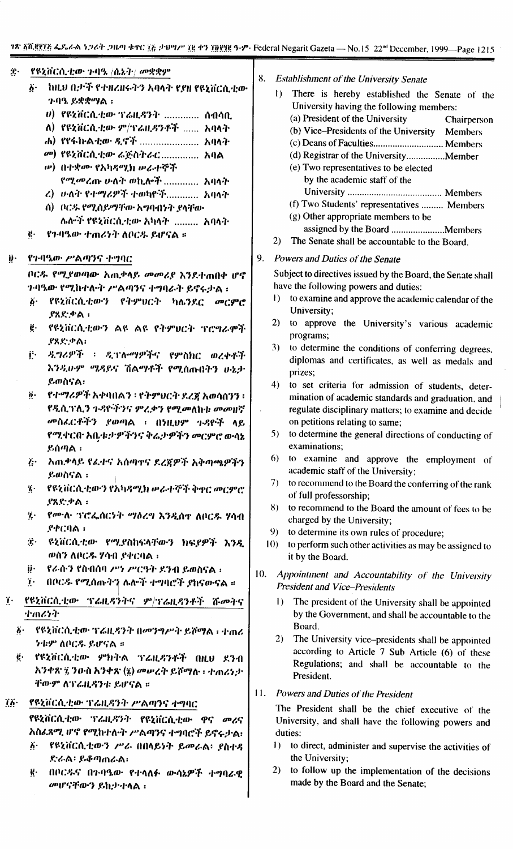|     | ገጽ <u>አሺጀደርያ</u> ፌዶራል ነጋሪት ጋዜጣ ቁተር ፲፭ ታህግሥ ፲፪ ቀን ፲፱፻፶፪ ዓ·ም· Fec                    |     |
|-----|------------------------------------------------------------------------------------|-----|
| Ķ.  | $\frac{1}{2}$ የዩኒቨርሲቲው ጉባዔ $\ket{0.2}$ ተ $\ket{w}$ ቋቋም                             |     |
|     | $\delta^+$ hild 0.2 ች የተዘረዘሩትን አባላት የያዘ የዩኒቨርሲቲው<br>7.0% ይቋቋማል :                   | 8.  |
|     | <i>ሀ) የዩኒቨርሲቲው ፕሬዚዳንት </i> ሰብሳቢ                                                    |     |
|     | ለ) የዩኒቨርሲቲው ም/ተሬዚዳንቶች  አባላት                                                        |     |
|     | ሐ) የየፋክ·ል·ቲው·ዲኖች  አባላት                                                             |     |
|     | <i>መ</i> ) የዩኒቨርሲቲው ሬጅስትራር አባል                                                     |     |
|     | ሥ) በተቋሙ የአካዳሚክ ሥራተኞች                                                               |     |
|     | የሚመረጡ ሁለት ወኪሎች  አባላት                                                               |     |
|     | ረ) ሁለት የተማሪዎች ተወካዮች አባላት                                                           |     |
|     | ስ) - ቦር-ዬ- የሚሰይማቸው አግባብነት ያላቸው                                                     |     |
|     | ሉሎች የዩኒቨርሲቲው እካላት  አባላት                                                            |     |
|     | የጉባዔው ተጠሪንት ለቦርዱ ይሆናል ።<br>$\ddot{\mathbf{e}}\cdot$                                |     |
| ij. | . የኅብዔው ሥልጣንና ተግባር                                                                 | 9.  |
|     | ቦርዱ የሚያወጣው አጠቃላይ መመሪያ እንደተጠበቀ ሆኖ                                                   |     |
|     | ንባዔው የሚከተሉት ሥልጣንና ተግባራት ይኖሩታል ፡                                                    |     |
|     | ፩• የዩኒቨርሲቲውን የትምህርት ካሌንዶር መርምሮ<br>.የጸድ.ቃል ፡                                        |     |
|     | ፪• የዩኒቨርሲቲውን ልዩ ልዩ የትምሀርት ፕሮግራሞች<br>.የጸድቃል፡                                        |     |
|     | -ዲግሪዎች ፡ ዲፕሎማዎችና የምስክር ወረቀቶች<br>jt.                                                |     |
|     | እንዲሁም ሜዳይና ሽልማቶች የሚሰጡበትን ሁኔታ                                                       |     |
|     | ይወስናል፡                                                                             |     |
|     | ፱· = የተማሪዎች አቀባበልን ፡ የትምህርት ደረጃ አወሳሰንን ፡                                           |     |
|     | የዲሲገንሊን ጉዳዮችንና ምረቃን የሚመለከቱ መመዘኛ                                                    |     |
|     | መስፌርቶችን ያወጣል ፡ በነዚህም ጉዳዮች ላይ                                                       |     |
|     | የሚቀርቡ አቤቱታዎችንና ቅሬታዎችን መርምሮ ውሳኔ                                                     |     |
|     | ይሰጣል ፡                                                                             |     |
|     | ጅ· - አጠቃላይ የፌተና አሰጣተና ደረጀዎች አቅጣጫዎችን                                                |     |
|     | ይወስናል ፡                                                                            |     |
|     | ፯· በየዩኒቨርሲቲውን የአካዳሚክ ሥራተኞች ቅዋር መርምሮ                                                |     |
|     | ያጸድቃል ፡                                                                            |     |
|     | $\eta$ .<br>.የሙሉ ፕሮፌሰርንት <i>ግ</i> ዕረግ እንዲሰዋ ለቦርዱ ሃሳብ<br>$P\Phi C \Omega \Lambda$ : |     |
|     | ጅ የሂቨርሲቲው የሚያስከፍላቸውን ክፍያዎች እንዲ                                                     |     |
|     | ወስን ለቦርዱ ሃሳብ ያቀርባል ፡                                                               |     |
|     | ij· የራሱን የስብሰባ ሥነ ሥርዓት ደንብ ይወስናል ፡                                                 | 10  |
|     | በቦርዱ የሚሰጡትን ሴሎች ተግባሮች ያከናውናል ።<br>$\mathbf{r}$                                     |     |
|     | ፲ የዩኒቨርሲቲው ፕሬዚዳንትና ም/ፕሬዚዳንቶች ሹ <i>መ</i> ትና                                         |     |
|     | ナのスラヤ                                                                              |     |
|     | ፩· የዩኒቨርሲቲው ፕሬዚዳንት በመንግሥት ይሾማል ፡ ተጠሪ<br>ንቱም ለቦርዱ ይሆናል ።                            |     |
|     | ë የዩኒቨርሲቲው ምክትል ፕሬዚዳንቶች በዚህ ደንብ                                                    |     |
|     | አንቀጽ ፯ ንዑስ አንቀጽ (፯) መሠረት ይሾማሉ ፡ ተጠሪነታ                                              |     |
|     | ቸውም ለፕሬዚዳንቱ ይሆናል ።                                                                 |     |
|     | ፲፩• የዩኒቨርሲቲው ፕሬዚዳንት ሥልጣንና ተግባር                                                     | 11. |
|     | የዩኒቨርሲቲው ፕሬዚዳንት የዩኒቨርሲቲው ዋና መሪና                                                    |     |
|     | አስፌጻሚ ሆኖ የሚከተሉት ሥልጣንና ተግባሮች ይኖሩታል፡                                                 |     |
|     | ፩·    የዩኒቨርሲቲውን ሥራ በበላይነት ይመራል፡  የስተዳ                                              |     |
|     | ድራል፡ ይቆጣጠራል፡                                                                       |     |

ë. በቦርዱና በጉባዔው የተላለፉ ውሳኔዎ መሆናቸውን ይከታተላል ፡

**Establishment of the University Senate** 

| $\mathbf{I}$ | There is hereby established the Senate of the           |  |  |  |  |
|--------------|---------------------------------------------------------|--|--|--|--|
|              | University having the following members:                |  |  |  |  |
|              | (a) President of the University<br>Chairperson          |  |  |  |  |
|              | (b) Vice-Presidents of the University<br><b>Members</b> |  |  |  |  |
|              |                                                         |  |  |  |  |
|              | (d) Registrar of the UniversityMember                   |  |  |  |  |
|              | (e) Two representatives to be elected                   |  |  |  |  |
|              | by the academic staff of the                            |  |  |  |  |
|              |                                                         |  |  |  |  |
|              | (f) Two Students' representatives  Members              |  |  |  |  |
|              | (g) Other appropriate members to be                     |  |  |  |  |
|              | assigned by the Board Members                           |  |  |  |  |
| 2)           | The Senate shall be accountable to the Board.           |  |  |  |  |
|              | $D_{\text{add}} = 1 D_{\text{add}} - C \cdot 1 - C$     |  |  |  |  |

Powers and Duties of the Senate

Subject to directives issued by the Board, the Senate shall have the following powers and duties:

- 1) to examine and approve the academic calendar of the University;
- 2) to approve the University's various academic programs;
- 3) to determine the conditions of conferring degrees, diplomas and certificates, as well as medals and prizes:
- 4) to set criteria for admission of students, determination of academic standards and graduation, and regulate disciplinary matters; to examine and decide on petitions relating to same;
- 5) to determine the general directions of conducting of examinations;
- 6) to examine and approve the employment of academic staff of the University;
- 7) to recommend to the Board the conferring of the rank of full professorship;
- 8) to recommend to the Board the amount of fees to be charged by the University;
- 9) to determine its own rules of procedure;
- to perform such other activities as may be assigned to  $10<sub>1</sub>$ it by the Board.
- Appointment and Accountability of the University **President and Vice-Presidents** 
	- $\mathbf{D}$ The president of the University shall be appointed by the Government, and shall be accountable to the Board.
	- 2) The University vice–presidents shall be appointed according to Article 7 Sub Article (6) of these Regulations; and shall be accountable to the President.
- Powers and Duties of the President

The President shall be the chief executive of the University, and shall have the following powers and duties:

- $\mathbf{D}$ to direct, administer and supervise the activities of the University;
- to follow up the implementation of the decisions  $(2)$ made by the Board and the Senate;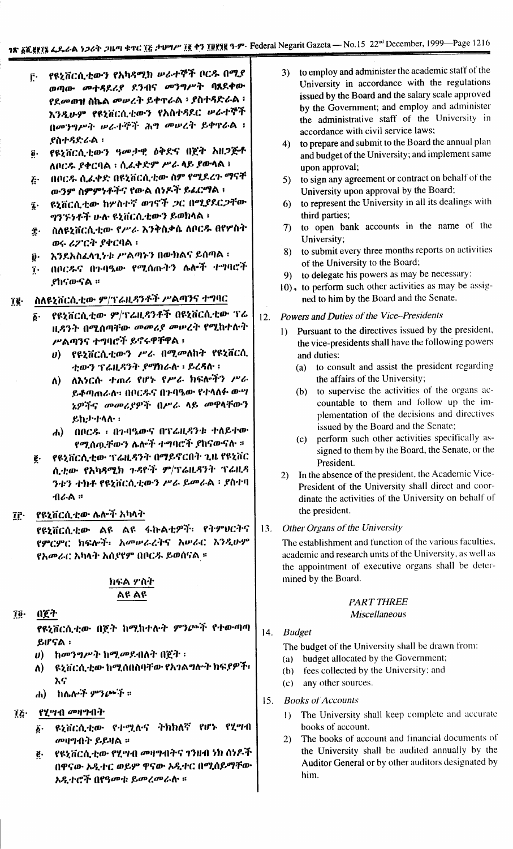- የዩኒቨርሲቲውን የአካዳሚክ ሥራተኞች ቦርዱ በሚያ ŕ٠ ወጣው መተዳደሪያ ደንብና መንግሥት ባጸደቀው የደመወዝ ስኬል መሠረት ይቀዋራል ፡ ያስተዳድራል ፡ እንዲሁም የዩኒቨርሲቲውን የአስተዳደር ሥራተኞች በመንግሥት ሠራተኞች ሕግ መሠረት ይቀዋራል ፡ <u> የስተዳድራል</u> ፡
- ፬· የዩኒቨርሲቲውን ዓመታዊ ዕቅድና በጀት አዘጋጅቶ ለቦርዱ ያቀርባል ፡ ሲሬቀድም ሥራ ላይ ያውላል ፣
- በቦርዱ ሲፈቀድ በዩኒቨርሲቲው ስም የሚደረጉ ማናቸ  $\boldsymbol{\tilde{c}}$ . ውንም ስምምነቶችና የውል ሰነዶች ይፈርማል ፡
- ዩኒቨርሲቲው ከሦስተኛ ወገኖች ጋር በሚያደርጋቸው Į. ግንኙነቶች ሁሉ ዩኒቨርሲቲውን ይወክላል ፡
- ስለዩኒቨርሲቲው የሥራ እንቅስቃሴ ለቦርዱ በየሦስት Î. ወሩ ሪፖርት ያቀርባል ፡
- እንደአስፈላጊንቱ ሥልጣኑን በውክልና ይሰጣል ፡ ŷ٠
- በቦርዱና በንብዔው የሚሰጡትን ሌሎች ተግባሮች  $\dddot{\mathbf{I}}$ . *የ*ከናውናል ፡፡
- ስለዩኒቨርሲቲው ም/ፕሬዚዳንቶች ሥልጣንና ተግባር î₿·
	- የዩኒቨርሲቲው ም/ፕሬዚዳንቶች በዩኒቨርሲቲው ፕሬ δ. ዚዳንት በሚሰጣቸው መመሪያ መሠረት የሚከተሉት ሥልጣንና ተግባሮች ይኖሩዋቸዋል ፡
		- የዩኒቨርሲቲውን ሥራ በሚመለከት የዩኒቨርሲ  $\boldsymbol{v}$ ቲውን ፕሬዚዳንት ያማክራሉ ፡ ይረዳሉ ፡
		- ለ) ለእነርሱ ተጠሪ የሆኑ የሥራ ክፍሎችን ሥራ ይቆጣጠራለ። በቦርዱና በጉባዔው የተላለፉ ውሣ ኔዎችና መመሪያዎች በሥራ ላይ መዋላቸውን ይከታተላሉ:
		- ሐ) በቦርዱ ፡ በንባዔውና በፕሬዚዳንቱ ተለይተው የሚሰጧቸውን ሌሎች ተግባሮች ያከናውናሉ ።
	- የዩኒቨርሲቲው ፕሬዚዳንት በማይኖርበት ጊዜ የዩኒቨር  $\vec{e}$ . ሲቲው የአካዳሚክ ጉዳዮች ም/ፕሬዚዳንት ፕሬዚዳ ንቱን ተክቶ የዩኒቨርሲቲውን ሥራ ይመራል ፡ ያስተባ ብራል ።
- የዩኒቨርሲቲው ሌሎች አካላት îŕ.

የዩኒቨርሲቲው ልዩ ልዩ ፋኩልቲዎች፣ የትምሀርትና የምርምር ክፍሎች፡ አመሠራረትና አሠራር እንዲሁም የአመራር አካላት አሲየየም በቦርዱ ይወስናል ፡፡

## ክፍል ሦስት ልዩ ልዩ

Tö. በጀት

> የዩኒቨርሲቲው በጀት ከሚከተሉት ምንጮች የተውጣጣ ይሆናል ፡

- $\theta$ ) ከመንግሥት ከሚመደብለት በጀት ፡
- ለ) ዩኒቨርሲቲው ከሚሰበስባቸው የአገልግሎት ክፍያዎች፡ እና
- ሐ) ከሴሎች ምንጮች።
- የሂሣብ መዛግብት ĩξ·
	- ዩኒቨርሲቲው የተሟለና ትክክለኛ የሆኑ የሂሣብ  $\hat{b}$ . መዛግብት ይይዛል ።
	- የዩኒቨርሲቲው የሂሣብ መዛግብትና ገንዘብ ነክ ሰነዶች ĝ. በዋናው አዲተር ወይም ዋናው አዲተር በሚሰይማቸው አዲተሮች በየዓመቱ ይመረመራሉ ።
- 3) to employ and administer the academic staff of the University in accordance with the regulations issued by the Board and the salary scale approved by the Government; and employ and administer the administrative staff of the University in accordance with civil service laws:
- to prepare and submit to the Board the annual plan  $4)$ and budget of the University; and implement same upon approval;
- to sign any agreement or contract on behalf of the  $5)$ University upon approval by the Board;
- to represent the University in all its dealings with  $6)$ third parties;
- to open bank accounts in the name of the  $7)$ University;
- to submit every three months reports on activities  $8)$ of the University to the Board;
- 9) to delegate his powers as may be necessary;
- 10), to perform such other activities as may be assigned to him by the Board and the Senate.

## Powers and Duties of the Vice-Presidents  $12.$

- Pursuant to the directives issued by the president, the vice-presidents shall have the following powers and duties:
	- (a) to consult and assist the president regarding the affairs of the University;
	- to supervise the activities of the organs ac- $(h)$ countable to them and follow up the implementation of the decisions and directives issued by the Board and the Senate;
	- (c) perform such other activities specifically assigned to them by the Board, the Senate, or the President.
- 2) In the absence of the president, the Academic Vice-President of the University shall direct and coordinate the activities of the University on behalf of the president.

### Other Organs of the University  $13.$

The establishment and function of the various faculties. academic and research units of the University, as well as the appointment of executive organs shall be determined by the Board.

## **PART THREE Miscellaneous**

### $14.$ **Budget**

The budget of the University shall be drawn from:

- (a) budget allocated by the Government;
- fees collected by the University; and  $(b)$
- any other sources.  $(c)$
- 15. Books of Accounts
	- 1) The University shall keep complete and accurate books of account.
	- The books of account and financial documents of  $(2)$ the University shall be audited annually by the Auditor General or by other auditors designated by him.